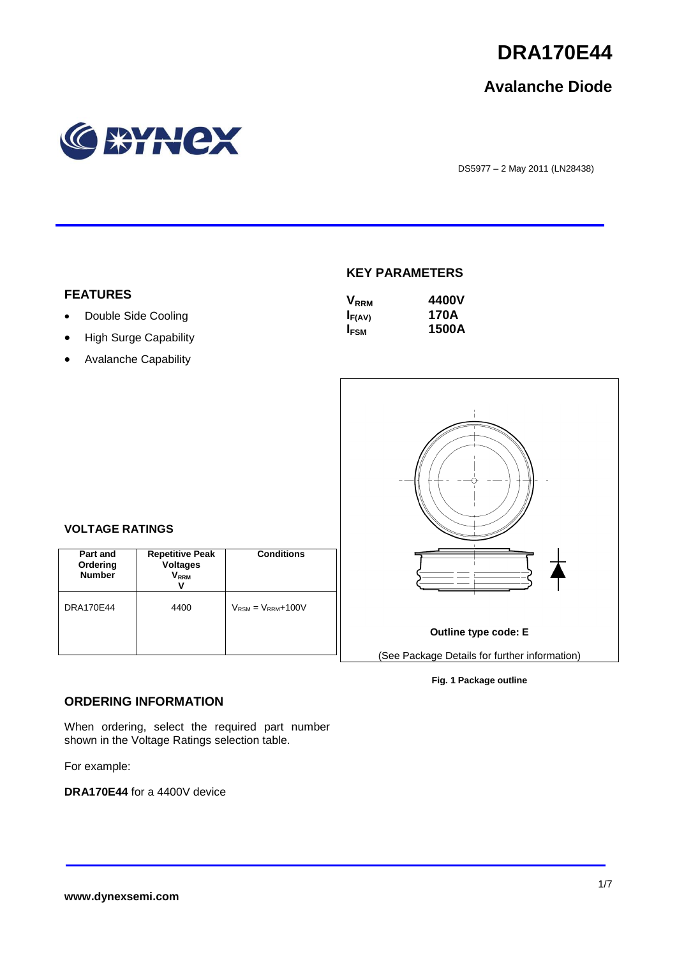

# **Avalanche Diode**



DS5977 – <sup>2</sup> May 2011 (LN28438)

### **KEY PARAMETERS**

| <b>V</b> <sub>RRM</sub> | 4400V |
|-------------------------|-------|
| $I_{F(AV)}$             | 170A  |
| <b>I</b> <sub>FSM</sub> | 1500A |



#### **Fig. 1 Package outline**

### **FEATURES**

- Double Side Cooling
- High Surge Capability
- Avalanche Capability

#### **Part and Repetitive Peak**

 $\overline{1}$ 

**VOLTAGE RATINGS**

| Part and<br>Ordering<br><b>Number</b> | <b>Repetitive Peak</b><br><b>Voltages</b><br><b>VRRM</b> | <b>Conditions</b>          |
|---------------------------------------|----------------------------------------------------------|----------------------------|
| <b>DRA170E44</b>                      | 4400                                                     | $V_{RSM} = V_{RRM} + 100V$ |

# **ORDERING INFORMATION**

When ordering, select the required part number shown in the Voltage Ratings selection table.

For example:

**DRA170E44** for a 4400V device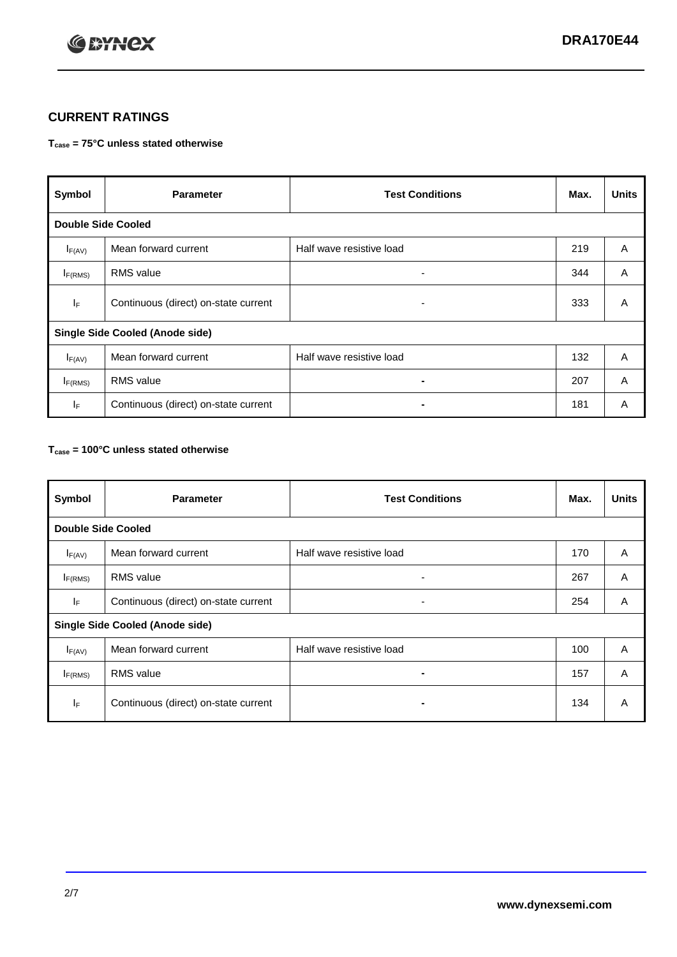

# **CURRENT RATINGS**

## **Tcase = 75°C unless stated otherwise**

| Symbol                                 | <b>Parameter</b>                     | <b>Test Conditions</b>   | Max. | <b>Units</b> |
|----------------------------------------|--------------------------------------|--------------------------|------|--------------|
| <b>Double Side Cooled</b>              |                                      |                          |      |              |
| $I_{F(AV)}$                            | Mean forward current                 | Half wave resistive load | 219  | A            |
| $I_{F(RMS)}$                           | <b>RMS</b> value                     | ۰                        | 344  | A            |
| lF.                                    | Continuous (direct) on-state current | ۰                        | 333  | A            |
| <b>Single Side Cooled (Anode side)</b> |                                      |                          |      |              |
| $I_{F(AV)}$                            | Mean forward current                 | Half wave resistive load | 132  | A            |
| $I_{F(RMS)}$                           | <b>RMS</b> value                     | ۰.                       | 207  | A            |
| IF.                                    | Continuous (direct) on-state current |                          | 181  | A            |

## **Tcase = 100°C unless stated otherwise**

| Symbol                                 | <b>Parameter</b>                     | <b>Test Conditions</b>   | Max. | <b>Units</b>   |
|----------------------------------------|--------------------------------------|--------------------------|------|----------------|
| <b>Double Side Cooled</b>              |                                      |                          |      |                |
| $I_{F(AV)}$                            | Mean forward current                 | Half wave resistive load | 170  | A              |
| $I_{F(RMS)}$                           | <b>RMS</b> value                     | ۰                        | 267  | A              |
| IF.                                    | Continuous (direct) on-state current | ٠                        | 254  | A              |
| <b>Single Side Cooled (Anode side)</b> |                                      |                          |      |                |
| $I_{F(AV)}$                            | Mean forward current                 | Half wave resistive load | 100  | $\overline{A}$ |
| I <sub>F(RMS)</sub>                    | <b>RMS</b> value                     |                          | 157  | A              |
| IF                                     | Continuous (direct) on-state current | -                        | 134  | A              |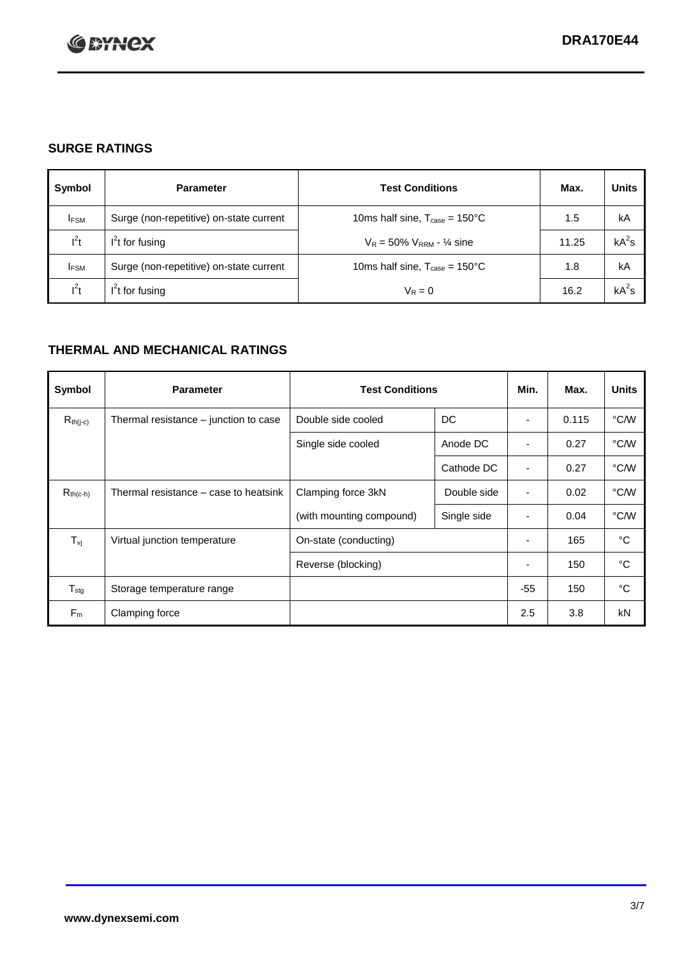

# **SURGE RATINGS**

| Symbol      | <b>Parameter</b>                        | <b>Test Conditions</b>                            | Max.  | <b>Units</b> |
|-------------|-----------------------------------------|---------------------------------------------------|-------|--------------|
| <b>IFSM</b> | Surge (non-repetitive) on-state current | 10ms half sine, $T_{\text{case}} = 150^{\circ}$ C | 1.5   | kA           |
| $l^2t$      | $I2t$ for fusing                        | $V_R = 50\% V_{RRM} - \frac{1}{4}$ sine           | 11.25 | $kA^2s$      |
| <b>IFSM</b> | Surge (non-repetitive) on-state current | 10ms half sine, $T_{\text{case}} = 150^{\circ}$ C | 1.8   | kA           |
| $l^2t$      | $I2t$ for fusing                        | $V_R = 0$                                         | 16.2  | $kA^2s$      |

# **THERMAL AND MECHANICAL RATINGS**

| Symbol           | <b>Parameter</b>                      | <b>Test Conditions</b>   |             | Min.                     | Max.  | <b>Units</b> |
|------------------|---------------------------------------|--------------------------|-------------|--------------------------|-------|--------------|
| $R_{th(j-c)}$    | Thermal resistance – junction to case | Double side cooled       | DC          |                          | 0.115 | °C/W         |
|                  |                                       | Single side cooled       | Anode DC    | ٠                        | 0.27  | °C/W         |
|                  |                                       |                          | Cathode DC  | ٠                        | 0.27  | °C/W         |
| $R_{th(c-h)}$    | Thermal resistance – case to heatsink | Clamping force 3kN       | Double side | $\overline{\phantom{a}}$ | 0.02  | °C/W         |
|                  |                                       | (with mounting compound) | Single side | ٠                        | 0.04  | °C/W         |
| $T_{\nu i}$      | Virtual junction temperature          | On-state (conducting)    |             | $\overline{\phantom{a}}$ | 165   | °C           |
|                  |                                       | Reverse (blocking)       |             | ٠                        | 150   | °C           |
| $T_{\text{stg}}$ | Storage temperature range             |                          |             | $-55$                    | 150   | °C           |
| $F_m$            | Clamping force                        |                          |             | 2.5                      | 3.8   | kN           |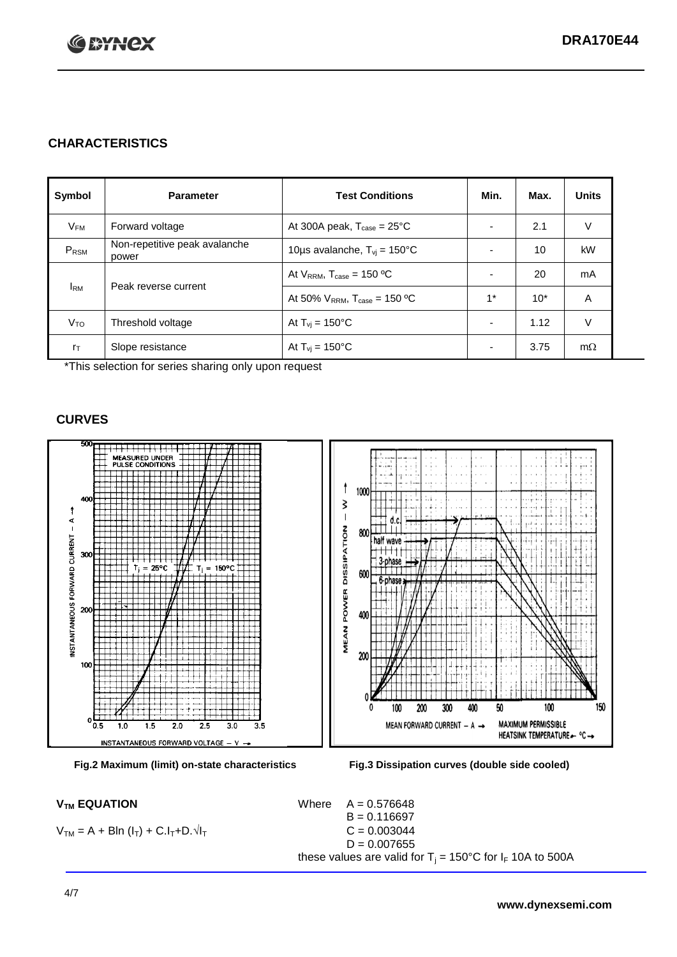

# **CHARACTERISTICS**

| Symbol         | <b>Parameter</b>                       | <b>Test Conditions</b>                        | Min.                     | Max.  | <b>Units</b> |
|----------------|----------------------------------------|-----------------------------------------------|--------------------------|-------|--------------|
| $V_{FM}$       | Forward voltage                        | At 300A peak, $T_{\text{case}} = 25^{\circ}C$ | ٠                        | 2.1   | V            |
| PRSM           | Non-repetitive peak avalanche<br>power | 10us avalanche, $T_{vi} = 150^{\circ}$ C      | ٠                        | 10    | kW           |
|                | At $V_{RRM}$ , $T_{case} = 150 °C$     | $\overline{\phantom{0}}$                      | 20                       | mA    |              |
|                | Peak reverse current<br><b>I</b> RM    | At 50% $V_{RRM}$ , $T_{case}$ = 150 °C        | $1^*$                    | $10*$ | Α            |
| $V_{TO}$       | Threshold voltage                      | At $T_{\rm vi}$ = 150°C                       | $\overline{\phantom{a}}$ | 1.12  | V            |
| $r_{\text{T}}$ | Slope resistance                       | At $T_{vi}$ = 150°C                           | ۰                        | 3.75  | $m\Omega$    |

\*This selection for series sharing only upon request

## **CURVES**







 $V_{TM}$  **EQUATION** Where  $A = 0.576648$  $B = 0.116697$  $D = 0.007655$ these values are valid for  $T_i = 150^{\circ}$ C for  $I_F$  10A to 500A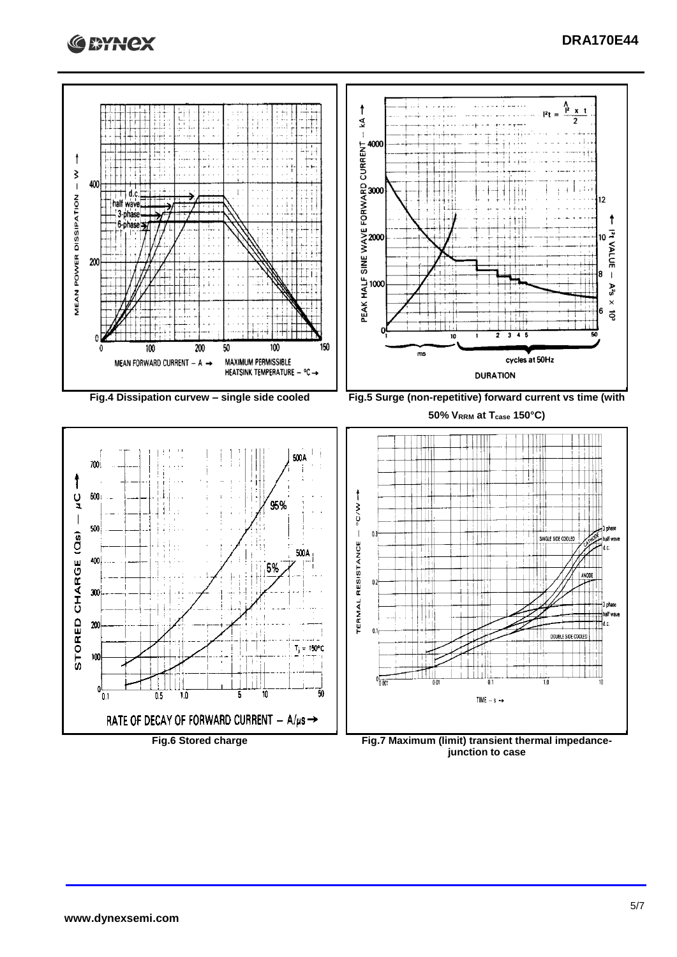



**junction to case**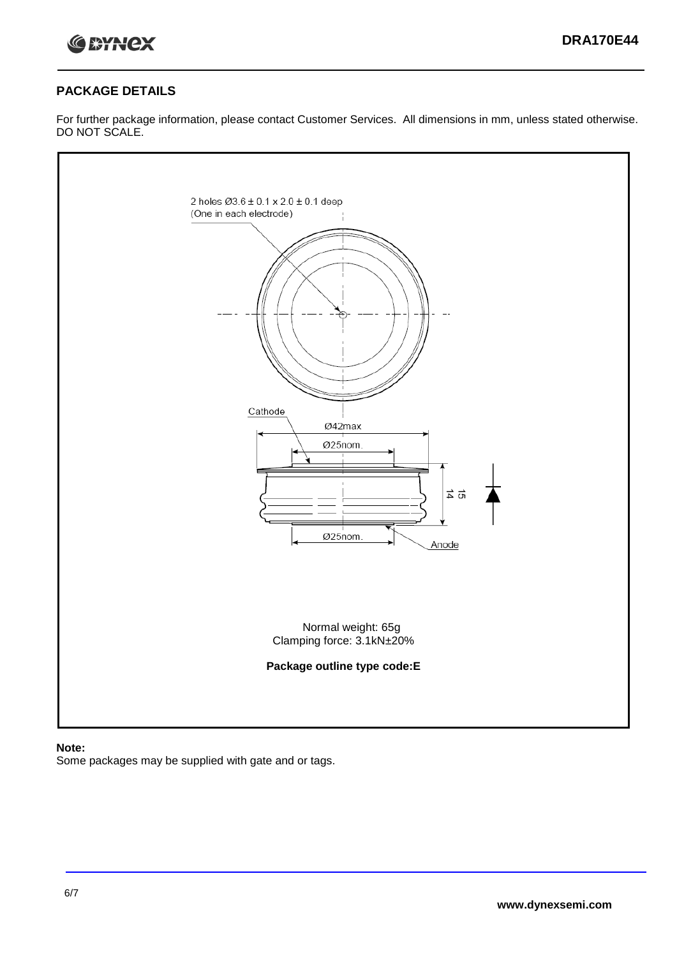

# **PACKAGE DETAILS**

For further package information, please contact Customer Services. All dimensions in mm, unless stated otherwise. DO NOT SCALE.



**Note:**

Some packages may be supplied with gate and or tags.